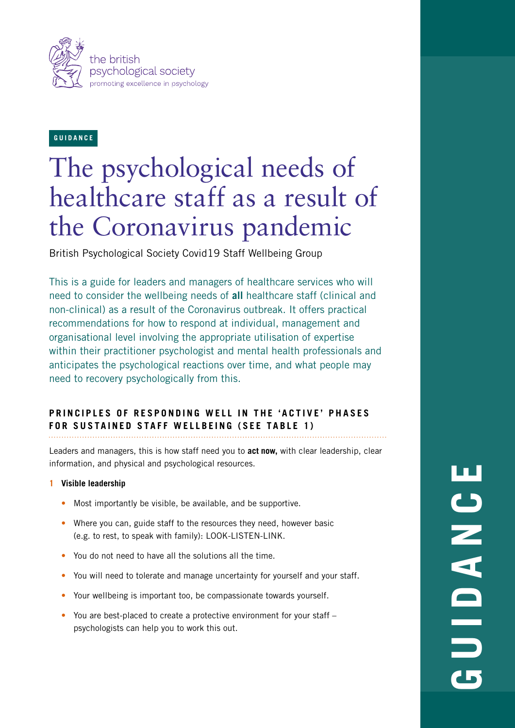

**G U I D A N C E** 

# The psychological needs of healthcare staff as a result of the Coronavirus pandemic

British Psychological Society Covid19 Staff Wellbeing Group

This is a guide for leaders and managers of healthcare services who will need to consider the wellbeing needs of **all** healthcare staff (clinical and non-clinical) as a result of the Coronavirus outbreak. It offers practical recommendations for how to respond at individual, management and organisational level involving the appropriate utilisation of expertise within their practitioner psychologist and mental health professionals and anticipates the psychological reactions over time, and what people may need to recovery psychologically from this.

# **PRINCIPLES OF RESPONDING WELL IN THE 'ACTIVE' PHASES FOR SUSTAINED STAFF WELLBEING (SEE TABLE 1)**

Leaders and managers, this is how staff need you to **act now,** with clear leadership, clear information, and physical and psychological resources.

# **1 Visible leadership**

- Most importantly be visible, be available, and be supportive.
- Where you can, guide staff to the resources they need, however basic (e.g. to rest, to speak with family): LOOK-LISTEN-LINK.
- You do not need to have all the solutions all the time.
- You will need to tolerate and manage uncertainty for yourself and your staff.
- Your wellbeing is important too, be compassionate towards yourself.
- You are best-placed to create a protective environment for your staff psychologists can help you to work this out.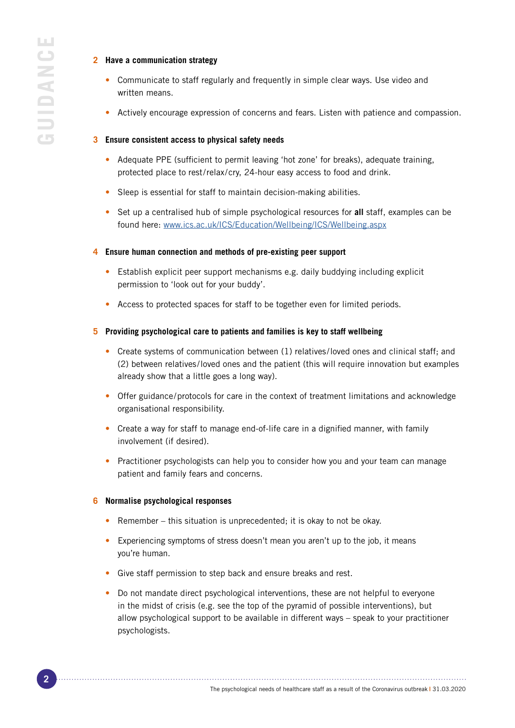## **2 Have a communication strategy**

- Communicate to staff regularly and frequently in simple clear ways. Use video and written means.
- Actively encourage expression of concerns and fears. Listen with patience and compassion.

## **3 Ensure consistent access to physical safety needs**

- Adequate PPE (sufficient to permit leaving 'hot zone' for breaks), adequate training, protected place to rest/relax/cry, 24-hour easy access to food and drink.
- Sleep is essential for staff to maintain decision-making abilities.
- Set up a centralised hub of simple psychological resources for **all** staff, examples can be found here: www.ics.ac.uk/ICS/Education/Wellbeing/ICS/Wellbeing.aspx

#### **4 Ensure human connection and methods of pre-existing peer support**

- Establish explicit peer support mechanisms e.g. daily buddying including explicit permission to 'look out for your buddy'.
- Access to protected spaces for staff to be together even for limited periods.

#### **5 Providing psychological care to patients and families is key to staff wellbeing**

- Create systems of communication between (1) relatives/loved ones and clinical staff; and (2) between relatives/loved ones and the patient (this will require innovation but examples already show that a little goes a long way).
- Offer guidance/protocols for care in the context of treatment limitations and acknowledge organisational responsibility.
- Create a way for staff to manage end-of-life care in a dignified manner, with family involvement (if desired).
- Practitioner psychologists can help you to consider how you and your team can manage patient and family fears and concerns.

#### **6 Normalise psychological responses**

- Remember this situation is unprecedented; it is okay to not be okay.
- Experiencing symptoms of stress doesn't mean you aren't up to the job, it means you're human.
- Give staff permission to step back and ensure breaks and rest.
- Do not mandate direct psychological interventions, these are not helpful to everyone in the midst of crisis (e.g. see the top of the pyramid of possible interventions), but allow psychological support to be available in different ways – speak to your practitioner psychologists.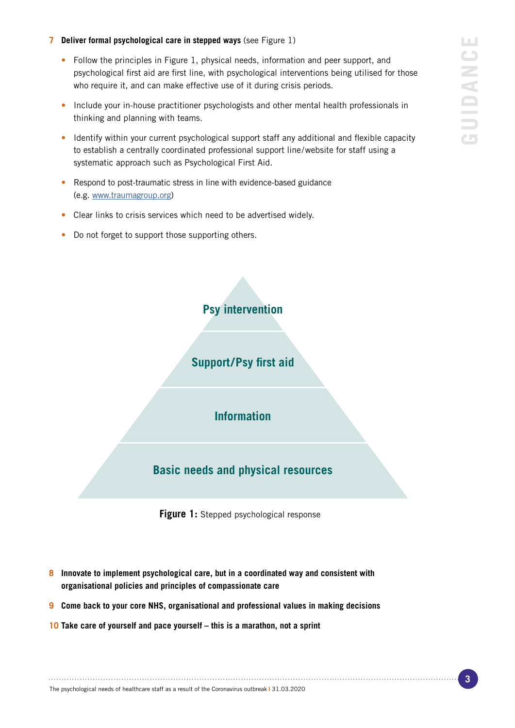#### **7 Deliver formal psychological care in stepped ways** (see Figure 1)

- Follow the principles in Figure 1, physical needs, information and peer support, and psychological first aid are first line, with psychological interventions being utilised for those who require it, and can make effective use of it during crisis periods.
- Include your in-house practitioner psychologists and other mental health professionals in thinking and planning with teams.
- Identify within your current psychological support staff any additional and flexible capacity to establish a centrally coordinated professional support line/website for staff using a systematic approach such as Psychological First Aid.
- Respond to post-traumatic stress in line with evidence-based guidance (e.g. www.traumagroup.org)
- Clear links to crisis services which need to be advertised widely.
- Do not forget to support those supporting others.





- **8 Innovate to implement psychological care, but in a coordinated way and consistent with organisational policies and principles of compassionate care**
- **9 Come back to your core NHS, organisational and professional values in making decisions**

**10 Take care of yourself and pace yourself – this is a marathon, not a sprint**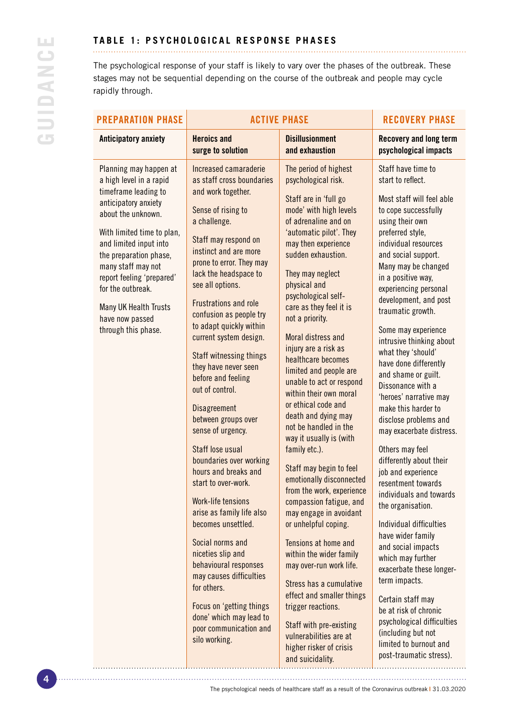# **TABLE 1: PSYCHOLOGICAL RESPONSE PHASES**

The psychological response of your staff is likely to vary over the phases of the outbreak. These stages may not be sequential depending on the course of the outbreak and people may cycle rapidly through.

| <b>PREPARATION PHASE</b>                                                                                                                                                                                                                                                                                                                             | <b>ACTIVE PHASE</b>                                                                                                                                                                                                                                                                                                                                                                                                                                                                                                                                                                                                                                                                                                                                                                                                                                                                                          |                                                                                                                                                                                                                                                                                                                                                                                                                                                                                                                                                                                                                                                                                                                                                                                                                                                                                                                                                                                                                  | <b>RECOVERY PHASE</b>                                                                                                                                                                                                                                                                                                                                                                                                                                                                                                                                                                                                                                                                                                                                                                                                                                                                                                                                                                               |
|------------------------------------------------------------------------------------------------------------------------------------------------------------------------------------------------------------------------------------------------------------------------------------------------------------------------------------------------------|--------------------------------------------------------------------------------------------------------------------------------------------------------------------------------------------------------------------------------------------------------------------------------------------------------------------------------------------------------------------------------------------------------------------------------------------------------------------------------------------------------------------------------------------------------------------------------------------------------------------------------------------------------------------------------------------------------------------------------------------------------------------------------------------------------------------------------------------------------------------------------------------------------------|------------------------------------------------------------------------------------------------------------------------------------------------------------------------------------------------------------------------------------------------------------------------------------------------------------------------------------------------------------------------------------------------------------------------------------------------------------------------------------------------------------------------------------------------------------------------------------------------------------------------------------------------------------------------------------------------------------------------------------------------------------------------------------------------------------------------------------------------------------------------------------------------------------------------------------------------------------------------------------------------------------------|-----------------------------------------------------------------------------------------------------------------------------------------------------------------------------------------------------------------------------------------------------------------------------------------------------------------------------------------------------------------------------------------------------------------------------------------------------------------------------------------------------------------------------------------------------------------------------------------------------------------------------------------------------------------------------------------------------------------------------------------------------------------------------------------------------------------------------------------------------------------------------------------------------------------------------------------------------------------------------------------------------|
| <b>Anticipatory anxiety</b>                                                                                                                                                                                                                                                                                                                          | <b>Heroics and</b><br>surge to solution                                                                                                                                                                                                                                                                                                                                                                                                                                                                                                                                                                                                                                                                                                                                                                                                                                                                      | <b>Disillusionment</b><br>and exhaustion                                                                                                                                                                                                                                                                                                                                                                                                                                                                                                                                                                                                                                                                                                                                                                                                                                                                                                                                                                         | <b>Recovery and long term</b><br>psychological impacts                                                                                                                                                                                                                                                                                                                                                                                                                                                                                                                                                                                                                                                                                                                                                                                                                                                                                                                                              |
| Planning may happen at<br>a high level in a rapid<br>timeframe leading to<br>anticipatory anxiety<br>about the unknown.<br>With limited time to plan,<br>and limited input into<br>the preparation phase,<br>many staff may not<br>report feeling 'prepared'<br>for the outbreak.<br>Many UK Health Trusts<br>have now passed<br>through this phase. | Increased camaraderie<br>as staff cross boundaries<br>and work together.<br>Sense of rising to<br>a challenge.<br>Staff may respond on<br>instinct and are more<br>prone to error. They may<br>lack the headspace to<br>see all options.<br><b>Frustrations and role</b><br>confusion as people try<br>to adapt quickly within<br>current system design.<br>Staff witnessing things<br>they have never seen<br>before and feeling<br>out of control.<br>Disagreement<br>between groups over<br>sense of urgency.<br>Staff lose usual<br>boundaries over working<br>hours and breaks and<br>start to over-work.<br><b>Work-life tensions</b><br>arise as family life also<br>becomes unsettled.<br>Social norms and<br>niceties slip and<br>behavioural responses<br>may causes difficulties<br>for others.<br>Focus on 'getting things<br>done' which may lead to<br>poor communication and<br>silo working. | The period of highest<br>psychological risk.<br>Staff are in 'full go<br>mode' with high levels<br>of adrenaline and on<br>'automatic pilot'. They<br>may then experience<br>sudden exhaustion.<br>They may neglect<br>physical and<br>psychological self-<br>care as they feel it is<br>not a priority.<br>Moral distress and<br>injury are a risk as<br>healthcare becomes<br>limited and people are<br>unable to act or respond<br>within their own moral<br>or ethical code and<br>death and dying may<br>not be handled in the<br>way it usually is (with<br>family etc.).<br>Staff may begin to feel<br>emotionally disconnected<br>from the work, experience<br>compassion fatigue, and<br>may engage in avoidant<br>or unhelpful coping.<br>Tensions at home and<br>within the wider family<br>may over-run work life.<br>Stress has a cumulative<br>effect and smaller things<br>trigger reactions.<br>Staff with pre-existing<br>vulnerabilities are at<br>higher risker of crisis<br>and suicidality. | Staff have time to<br>start to reflect.<br>Most staff will feel able<br>to cope successfully<br>using their own<br>preferred style,<br>individual resources<br>and social support.<br>Many may be changed<br>in a positive way,<br>experiencing personal<br>development, and post<br>traumatic growth.<br>Some may experience<br>intrusive thinking about<br>what they 'should'<br>have done differently<br>and shame or guilt.<br>Dissonance with a<br>'heroes' narrative may<br>make this harder to<br>disclose problems and<br>may exacerbate distress.<br>Others may feel<br>differently about their<br>job and experience<br>resentment towards<br>individuals and towards<br>the organisation.<br>Individual difficulties<br>have wider family<br>and social impacts<br>which may further<br>exacerbate these longer-<br>term impacts.<br>Certain staff may<br>be at risk of chronic<br>psychological difficulties<br>(including but not<br>limited to burnout and<br>post-traumatic stress). |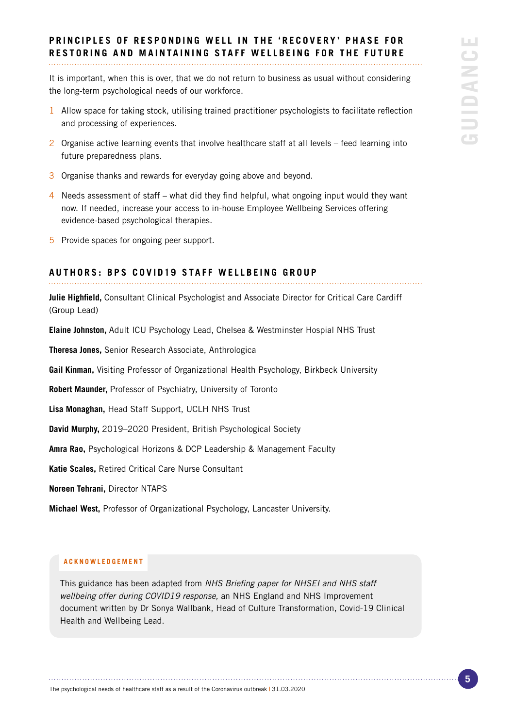## **PRINCIPLES OF RESPONDING WELL IN THE 'RECOVERY' PHASE FOR RESTORING AND MAINTAINING STAFF WELLBEING FOR THE FUTURE**

It is important, when this is over, that we do not return to business as usual without considering the long-term psychological needs of our workforce.

- 1 Allow space for taking stock, utilising trained practitioner psychologists to facilitate reflection and processing of experiences.
- 2 Organise active learning events that involve healthcare staff at all levels feed learning into future preparedness plans.
- 3 Organise thanks and rewards for everyday going above and beyond.
- 4 Needs assessment of staff what did they find helpful, what ongoing input would they want now. If needed, increase your access to in-house Employee Wellbeing Services offering evidence-based psychological therapies.
- 5 Provide spaces for ongoing peer support.

# **AUTHORS: BPS COVID19 STAFF WELLBEING GROUP**

**Julie Highfield,** Consultant Clinical Psychologist and Associate Director for Critical Care Cardiff (Group Lead)

**Elaine Johnston,** Adult ICU Psychology Lead, Chelsea & Westminster Hospial NHS Trust

**Theresa Jones,** Senior Research Associate, Anthrologica

**Gail Kinman,** Visiting Professor of Organizational Health Psychology, Birkbeck University

**Robert Maunder,** Professor of Psychiatry, University of Toronto

**Lisa Monaghan,** Head Staff Support, UCLH NHS Trust

**David Murphy,** 2019–2020 President, British Psychological Society

**Amra Rao,** Psychological Horizons & DCP Leadership & Management Faculty

**Katie Scales,** Retired Critical Care Nurse Consultant

**Noreen Tehrani,** Director NTAPS

**Michael West,** Professor of Organizational Psychology, Lancaster University.

# **ACKNOWLEDGEMENT**

This guidance has been adapted from *NHS Briefing paper for NHSEI and NHS staff wellbeing offer during COVID19 response,* an NHS England and NHS Improvement document written by Dr Sonya Wallbank, Head of Culture Transformation, Covid-19 Clinical Health and Wellbeing Lead.